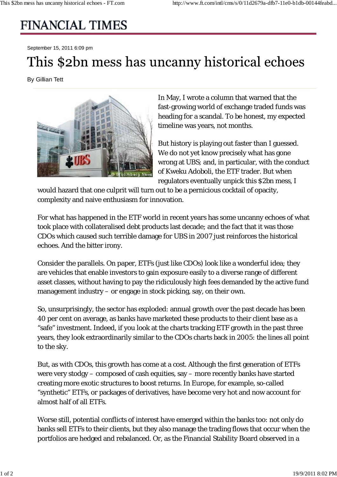## **FINANCIAL TIMES**

September 15, 2011 6:09 pm

## This \$2bn mess has uncanny historical echoes

By Gillian Tett



In May, I wrote a column that warned that the fast-growing world of exchange traded funds was heading for a scandal. To be honest, my expected timeline was years, not months.

But history is playing out faster than I guessed. We do not yet know precisely what has gone wrong at UBS; and, in particular, with the conduct of Kweku Adoboli, the ETF trader. But when regulators eventually unpick this \$2bn mess, I

would hazard that one culprit will turn out to be a pernicious cocktail of opacity, complexity and naive enthusiasm for innovation.

For what has happened in the ETF world in recent years has some uncanny echoes of what took place with collateralised debt products last decade; and the fact that it was those CDOs which caused such terrible damage for UBS in 2007 just reinforces the historical echoes. And the bitter irony.

Consider the parallels. On paper, ETFs (just like CDOs) look like a wonderful idea; they are vehicles that enable investors to gain exposure easily to a diverse range of different asset classes, without having to pay the ridiculously high fees demanded by the active fund management industry – or engage in stock picking, say, on their own.

So, unsurprisingly, the sector has exploded: annual growth over the past decade has been 40 per cent on average, as banks have marketed these products to their client base as a "safe" investment. Indeed, if you look at the charts tracking ETF growth in the past three years, they look extraordinarily similar to the CDOs charts back in 2005: the lines all point to the sky.

But, as with CDOs, this growth has come at a cost. Although the first generation of ETFs were very stodgy – composed of cash equities, say – more recently banks have started creating more exotic structures to boost returns. In Europe, for example, so-called "synthetic" ETFs, or packages of derivatives, have become very hot and now account for almost half of all ETFs.

Worse still, potential conflicts of interest have emerged within the banks too: not only do banks sell ETFs to their clients, but they also manage the trading flows that occur when the portfolios are hedged and rebalanced. Or, as the Financial Stability Board observed in a